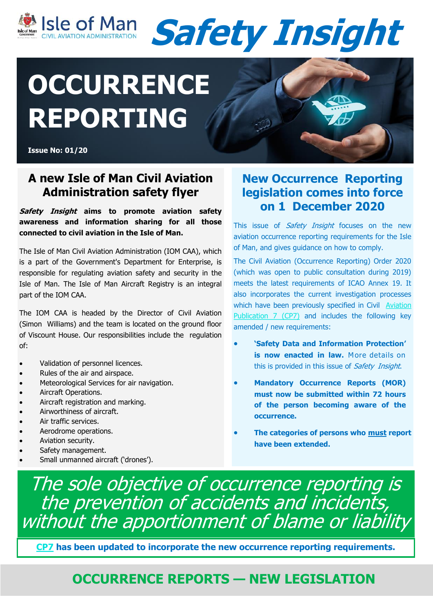



# **OCCURRENCE REPORTING**

**Issue No: 01/20**

### **A new Isle of Man Civil Aviation Administration safety flyer**

#### **Safety Insight aims to promote aviation safety awareness and information sharing for all those connected to civil aviation in the Isle of Man.**

The Isle of Man Civil Aviation Administration (IOM CAA), which is a part of the Government's Department for Enterprise, is responsible for regulating aviation safety and security in the Isle of Man. The Isle of Man Aircraft Registry is an integral part of the IOM CAA.

The IOM CAA is headed by the Director of Civil Aviation (Simon Williams) and the team is located on the ground floor of Viscount House. Our responsibilities include the regulation of:

- Validation of personnel licences.
- Rules of the air and airspace.
- Meteorological Services for air navigation.
- Aircraft Operations.
- Aircraft registration and marking.
- Airworthiness of aircraft.
- Air traffic services.
- Aerodrome operations.
- Aviation security.
- Safety management.
- Small unmanned aircraft ('drones').

### **New Occurrence Reporting legislation comes into force on 1 December 2020**

This issue of *Safety Insight* focuses on the new aviation occurrence reporting requirements for the Isle of Man, and gives guidance on how to comply.

The Civil Aviation (Occurrence Reporting) Order 2020 (which was open to public consultation during 2019) meets the latest requirements of ICAO Annex 19. It also incorporates the current investigation processes which have been previously specified in Civil Aviation [Publication 7 \(CP7\)](https://www.gov.im/categories/business-and-industries/civil-aviation-administration-caa/occurrence-reporting/) and includes the following key amended / new requirements:

- **'Safety Data and Information Protection' is now enacted in law.** More details on this is provided in this issue of *Safety Insight*.
- **Mandatory Occurrence Reports (MOR) must now be submitted within 72 hours of the person becoming aware of the occurrence.**
- **The categories of persons who must report have been extended.**

The sole objective of occurrence reporting is the prevention of accidents and incidents, without the apportionment of blame or liability

**[CP7](https://www.gov.im/categories/business-and-industries/civil-aviation-administration-caa/occurrence-reporting/) has been updated to incorporate the new occurrence reporting requirements.**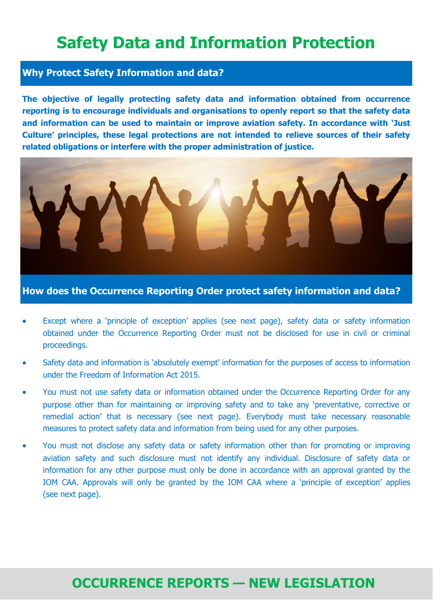# **Safety Data and Information Protection**

### **Why Protect Safety Information and data?**

**The objective of legally protecting safety data and information obtained from occurrence reporting is to encourage individuals and organisations to openly report so that the safety data and information can be used to maintain or improve aviation safety. In accordance with 'Just Culture' principles, these legal protections are not intended to relieve sources of their safety related obligations or interfere with the proper administration of justice.**



**How does the Occurrence Reporting Order protect safety information and data?**

- Except where a 'principle of exception' applies (see next page), safety data or safety information obtained under the Occurrence Reporting Order must not be disclosed for use in civil or criminal proceedings.
- Safety data and information is 'absolutely exempt' information for the purposes of access to information under the Freedom of Information Act 2015.
- You must not use safety data or information obtained under the Occurrence Reporting Order for any purpose other than for maintaining or improving safety and to take any 'preventative, corrective or remedial action' that is necessary (see next page). Everybody must take necessary reasonable measures to protect safety data and information from being used for any other purposes.
- You must not disclose any safety data or safety information other than for promoting or improving aviation safety and such disclosure must not identify any individual. Disclosure of safety data or information for any other purpose must only be done in accordance with an approval granted by the IOM CAA. Approvals will only be granted by the IOM CAA where a 'principle of exception' applies (see next page).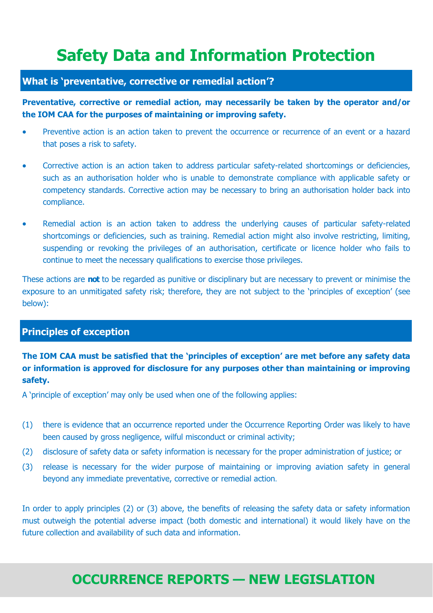# **Safety Data and Information Protection**

### **What is 'preventative, corrective or remedial action'?**

**Preventative, corrective or remedial action, may necessarily be taken by the operator and/or the IOM CAA for the purposes of maintaining or improving safety.** 

- Preventive action is an action taken to prevent the occurrence or recurrence of an event or a hazard that poses a risk to safety.
- Corrective action is an action taken to address particular safety-related shortcomings or deficiencies, such as an authorisation holder who is unable to demonstrate compliance with applicable safety or competency standards. Corrective action may be necessary to bring an authorisation holder back into compliance.
- Remedial action is an action taken to address the underlying causes of particular safety-related shortcomings or deficiencies, such as training. Remedial action might also involve restricting, limiting, suspending or revoking the privileges of an authorisation, certificate or licence holder who fails to continue to meet the necessary qualifications to exercise those privileges.

These actions are **not** to be regarded as punitive or disciplinary but are necessary to prevent or minimise the exposure to an unmitigated safety risk; therefore, they are not subject to the 'principles of exception' (see below):

### **Principles of exception**

### **The IOM CAA must be satisfied that the 'principles of exception' are met before any safety data or information is approved for disclosure for any purposes other than maintaining or improving safety.**

A 'principle of exception' may only be used when one of the following applies:

- (1) there is evidence that an occurrence reported under the Occurrence Reporting Order was likely to have been caused by gross negligence, wilful misconduct or criminal activity;
- (2) disclosure of safety data or safety information is necessary for the proper administration of justice; or
- (3) release is necessary for the wider purpose of maintaining or improving aviation safety in general beyond any immediate preventative, corrective or remedial action.

In order to apply principles (2) or (3) above, the benefits of releasing the safety data or safety information must outweigh the potential adverse impact (both domestic and international) it would likely have on the future collection and availability of such data and information.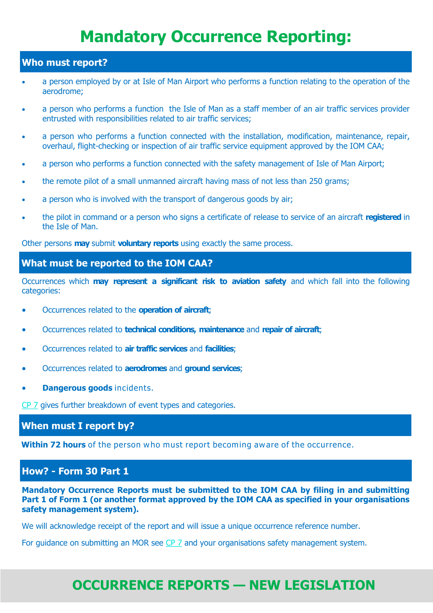# **Mandatory Occurrence Reporting:**

#### **Who must report?**

- a person employed by or at Isle of Man Airport who performs a function relating to the operation of the aerodrome;
- a person who performs a function the Isle of Man as a staff member of an air traffic services provider entrusted with responsibilities related to air traffic services;
- a person who performs a function connected with the installation, modification, maintenance, repair, overhaul, flight-checking or inspection of air traffic service equipment approved by the IOM CAA;
- a person who performs a function connected with the safety management of Isle of Man Airport;
- the remote pilot of a small unmanned aircraft having mass of not less than 250 grams;
- a person who is involved with the transport of dangerous goods by air;
- the pilot in command or a person who signs a certificate of release to service of an aircraft **registered** in the Isle of Man.

Other persons **may** submit **voluntary reports** using exactly the same process.

#### **What must be reported to the IOM CAA?**

Occurrences which **may represent a significant risk to aviation safety** and which fall into the following categories:

- Occurrences related to the **operation of aircraft**;
- Occurrences related to **technical conditions, maintenance** and **repair of aircraft**;
- Occurrences related to **air traffic services** and **facilities**;
- Occurrences related to **aerodromes** and **ground services**;
- **Dangerous goods** incidents.

[CP 7](https://www.gov.im/categories/business-and-industries/civil-aviation-administration-caa/occurrence-reporting/) gives further breakdown of event types and categories.

#### **When must I report by?**

**Within 72 hours** of the person who must report becoming aware of the occurrence.

### **How? - Form 30 Part 1**

**Mandatory Occurrence Reports must be submitted to the IOM CAA by filing in and submitting Part 1 of Form 1 (or another format approved by the IOM CAA as specified in your organisations safety management system).** 

We will acknowledge receipt of the report and will issue a unique occurrence reference number.

For guidance on submitting an MOR see [CP 7](https://www.gov.im/categories/business-and-industries/civil-aviation-administration-caa/occurrence-reporting/reiltys/iomgroot/DeptHome_DFE/DEDCGIL/My%20Documents/AME%20Validation%20Package) and your organisations safety management system.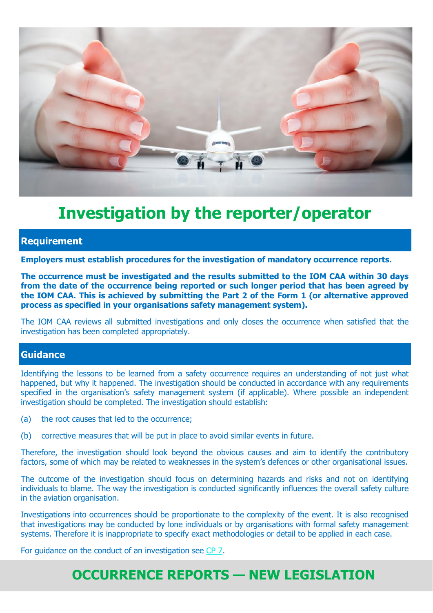

# **Investigation by the reporter/operator**

#### **Requirement**

**Employers must establish procedures for the investigation of mandatory occurrence reports.**

**The occurrence must be investigated and the results submitted to the IOM CAA within 30 days from the date of the occurrence being reported or such longer period that has been agreed by the IOM CAA. This is achieved by submitting the Part 2 of the Form 1 (or alternative approved process as specified in your organisations safety management system).**

The IOM CAA reviews all submitted investigations and only closes the occurrence when satisfied that the investigation has been completed appropriately.

### **Guidance**

Identifying the lessons to be learned from a safety occurrence requires an understanding of not just what happened, but why it happened. The investigation should be conducted in accordance with any requirements specified in the organisation's safety management system (if applicable). Where possible an independent investigation should be completed. The investigation should establish:

- (a) the root causes that led to the occurrence;
- (b) corrective measures that will be put in place to avoid similar events in future.

Therefore, the investigation should look beyond the obvious causes and aim to identify the contributory factors, some of which may be related to weaknesses in the system's defences or other organisational issues.

The outcome of the investigation should focus on determining hazards and risks and not on identifying individuals to blame. The way the investigation is conducted significantly influences the overall safety culture in the aviation organisation.

Investigations into occurrences should be proportionate to the complexity of the event. It is also recognised that investigations may be conducted by lone individuals or by organisations with formal safety management systems. Therefore it is inappropriate to specify exact methodologies or detail to be applied in each case.

For guidance on the conduct of an investigation see [CP 7.](https://www.gov.im/categories/business-and-industries/civil-aviation-administration-caa/occurrence-reporting/)